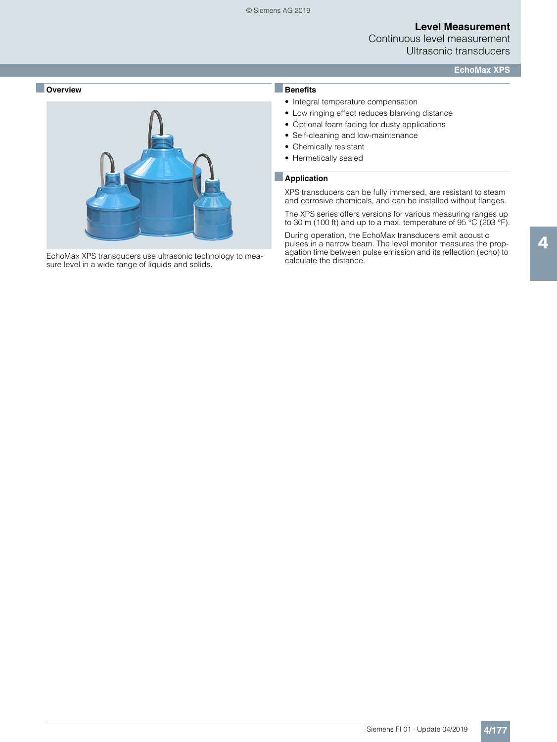Continuous level measurement Ultrasonic transducers

**EchoMax XPS**



EchoMax XPS transducers use ultrasonic technology to measure level in a wide range of liquids and solids.

# ■**Benefits**

- Integral temperature compensation
- Low ringing effect reduces blanking distance
- Optional foam facing for dusty applications
- Self-cleaning and low-maintenance
- Chemically resistant
- Hermetically sealed

#### ■**Application**

XPS transducers can be fully immersed, are resistant to steam and corrosive chemicals, and can be installed without flanges.

The XPS series offers versions for various measuring ranges up to 30 m (100 ft) and up to a max. temperature of  $95^{\circ}$ C (203  $^{\circ}$ F).

During operation, the EchoMax transducers emit acoustic pulses in a narrow beam. The level monitor measures the propagation time between pulse emission and its reflection (echo) to calculate the distance.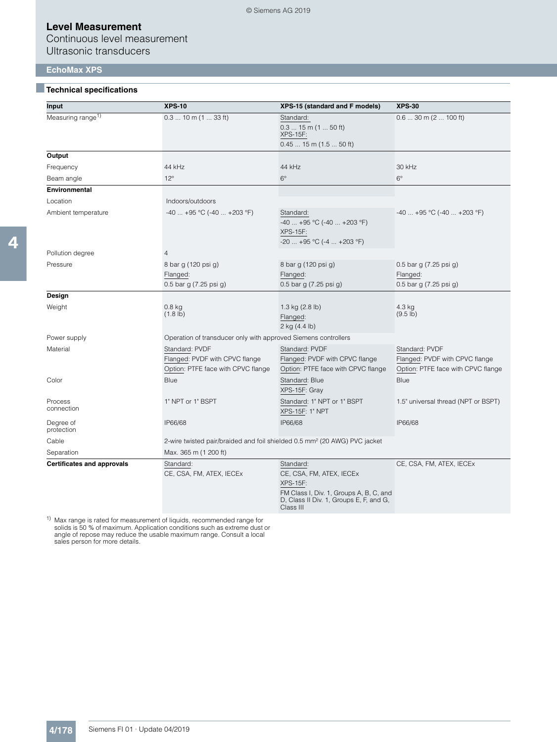Continuous level measurement Ultrasonic transducers

#### **EchoMax XPS**

#### ■**Technical specifications**

| Input                             | <b>XPS-10</b>                                                                                           | XPS-15 (standard and F models)                                                                                                                 | <b>XPS-30</b>                                                                          |
|-----------------------------------|---------------------------------------------------------------------------------------------------------|------------------------------------------------------------------------------------------------------------------------------------------------|----------------------------------------------------------------------------------------|
| Measuring range <sup>1)</sup>     | $0.310$ m $(133$ ft)<br>Standard:<br>$0.315$ m $(150$ ft)<br><b>XPS-15F:</b><br>$0.4515$ m $(1.550$ ft) |                                                                                                                                                | $0.630$ m (2  100 ft)                                                                  |
| Output                            |                                                                                                         |                                                                                                                                                |                                                                                        |
| Frequency                         | 44 kHz                                                                                                  | 44 kHz                                                                                                                                         | 30 kHz                                                                                 |
| Beam angle                        | $12^{\circ}$                                                                                            | $6^{\circ}$                                                                                                                                    | $6^{\circ}$                                                                            |
| <b>Environmental</b>              |                                                                                                         |                                                                                                                                                |                                                                                        |
| Location                          | Indoors/outdoors                                                                                        |                                                                                                                                                |                                                                                        |
| Ambient temperature               | $-40$ $+95$ °C ( $-40$ $+203$ °F)                                                                       | Standard:<br>$-40$ $+95$ °C ( $-40$ $+203$ °F)<br><b>XPS-15F:</b><br>$-20$ +95 °C (-4  +203 °F)                                                | $-40$ $+95$ °C ( $-40$ $+203$ °F)                                                      |
| Pollution degree                  | 4                                                                                                       |                                                                                                                                                |                                                                                        |
| Pressure                          | 8 bar g (120 psi g)<br>Flanged:<br>0.5 bar g (7.25 psi g)                                               | 8 bar g (120 psi g)<br>Flanged:<br>0.5 bar g (7.25 psi g)                                                                                      | 0.5 bar g $(7.25 \text{ psi g})$<br>Flanged:<br>0.5 bar g (7.25 psi g)                 |
| Design                            |                                                                                                         |                                                                                                                                                |                                                                                        |
| Weight                            | $0.8$ kg<br>$(1.8 \, lb)$                                                                               | 1.3 kg $(2.8 \text{ lb})$<br>Flanged:<br>2 kg (4.4 lb)                                                                                         | 4.3 kg<br>$(9.5 \, lb)$                                                                |
| Power supply                      | Operation of transducer only with approved Siemens controllers                                          |                                                                                                                                                |                                                                                        |
| Material                          | Standard: PVDF<br>Flanged: PVDF with CPVC flange<br>Option: PTFE face with CPVC flange                  | Standard: PVDF<br>Flanged: PVDF with CPVC flange<br>Option: PTFE face with CPVC flange                                                         | Standard: PVDF<br>Flanged: PVDF with CPVC flange<br>Option: PTFE face with CPVC flange |
| Color                             | Blue                                                                                                    | Standard: Blue<br>XPS-15F: Gray                                                                                                                | Blue                                                                                   |
| Process<br>connection             | 1" NPT or 1" BSPT                                                                                       | Standard: 1" NPT or 1" BSPT<br><b>XPS-15F: 1" NPT</b>                                                                                          | 1.5" universal thread (NPT or BSPT)                                                    |
| Degree of<br>protection           | IP66/68                                                                                                 | IP66/68                                                                                                                                        | IP66/68                                                                                |
| Cable                             | 2-wire twisted pair/braided and foil shielded 0.5 mm <sup>2</sup> (20 AWG) PVC jacket                   |                                                                                                                                                |                                                                                        |
| Separation                        | Max. 365 m (1 200 ft)                                                                                   |                                                                                                                                                |                                                                                        |
| <b>Certificates and approvals</b> | Standard:<br>CE, CSA, FM, ATEX, IECEx                                                                   | Standard:<br>CE, CSA, FM, ATEX, IECEx<br><b>XPS-15F:</b><br>FM Class I, Div. 1, Groups A, B, C, and<br>D, Class II Div. 1, Groups E, F, and G, | CE, CSA, FM, ATEX, IECEx                                                               |

Class III

<sup>1)</sup> Max range is rated for measurement of liquids, recommended range for solids is 50 % of maximum. Application conditions such as extreme dust or angle of repose may reduce the usable maximum range. Consult a local sale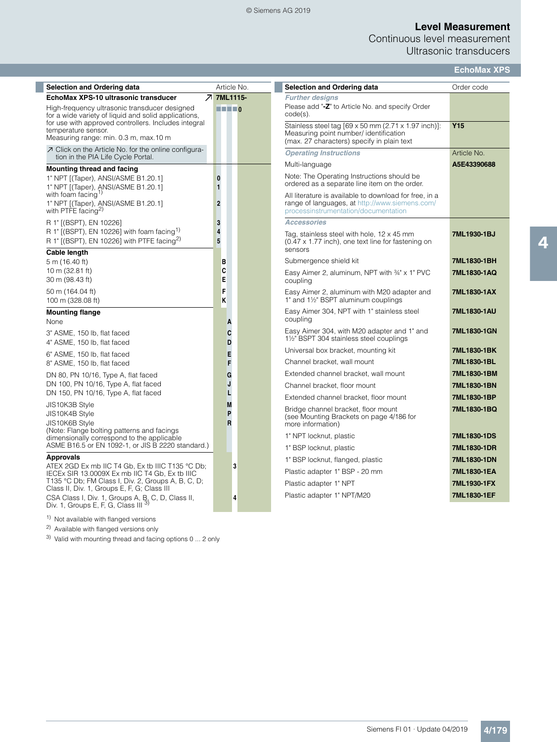#### © Siemens AG 2019

## **Level Measurement**

Continuous level measurement Ultrasonic transducers

|  | <b>EchoMax XPS</b> |  |  |  |
|--|--------------------|--|--|--|
|--|--------------------|--|--|--|

| <b>Selection and Ordering data</b>                                                                                                                            | Article No.                                                                                                                                                                                                                                                                                                                                                                                                                                                                                | <b>Selection and Ordering data</b>                                                                                                               | Order code      |
|---------------------------------------------------------------------------------------------------------------------------------------------------------------|--------------------------------------------------------------------------------------------------------------------------------------------------------------------------------------------------------------------------------------------------------------------------------------------------------------------------------------------------------------------------------------------------------------------------------------------------------------------------------------------|--------------------------------------------------------------------------------------------------------------------------------------------------|-----------------|
| EchoMax XPS-10 ultrasonic transducer                                                                                                                          | フ 7ML1115-                                                                                                                                                                                                                                                                                                                                                                                                                                                                                 | <b>Further designs</b>                                                                                                                           |                 |
| High-frequency ultrasonic transducer designed<br>for a wide variety of liquid and solid applications,<br>for use with approved controllers. Includes integral | $\blacksquare$ $\blacksquare$ $\blacksquare$ $\blacksquare$ $\blacksquare$ $\blacksquare$ $\blacksquare$ $\blacksquare$ $\blacksquare$ $\blacksquare$ $\blacksquare$ $\blacksquare$ $\blacksquare$ $\blacksquare$ $\blacksquare$ $\blacksquare$ $\blacksquare$ $\blacksquare$ $\blacksquare$ $\blacksquare$ $\blacksquare$ $\blacksquare$ $\blacksquare$ $\blacksquare$ $\blacksquare$ $\blacksquare$ $\blacksquare$ $\blacksquare$ $\blacksquare$ $\blacksquare$ $\blacksquare$ $\blacks$ | Please add "-Z" to Article No. and specify Order<br>$code(s)$ .<br>Stainless steel tag [69 x 50 mm (2.71 x 1.97 inch)]:                          | Y <sub>15</sub> |
| temperature sensor.<br>Measuring range: min. 0.3 m, max. 10 m                                                                                                 |                                                                                                                                                                                                                                                                                                                                                                                                                                                                                            | Measuring point number/ identification<br>(max. 27 characters) specify in plain text                                                             |                 |
| ○ Click on the Article No. for the online configura-<br>tion in the PIA Life Cycle Portal.                                                                    |                                                                                                                                                                                                                                                                                                                                                                                                                                                                                            | <b>Operating Instructions</b>                                                                                                                    | Article No.     |
| <b>Mounting thread and facing</b>                                                                                                                             |                                                                                                                                                                                                                                                                                                                                                                                                                                                                                            | Multi-language                                                                                                                                   | A5E43390688     |
| 1" NPT [(Taper), ANSI/ASME B1.20.1]<br>1" NPT [(Taper), ANSI/ASME B1.20.1]                                                                                    | $\mathbf{0}$<br>$\mathbf{1}$                                                                                                                                                                                                                                                                                                                                                                                                                                                               | Note: The Operating Instructions should be<br>ordered as a separate line item on the order.                                                      |                 |
| with foam facing <sup>1)</sup><br>1" NPT [(Taper), ANSI/ASME B1.20.1]<br>with PTFE facing <sup>2)</sup>                                                       | $\overline{2}$                                                                                                                                                                                                                                                                                                                                                                                                                                                                             | All literature is available to download for free, in a<br>range of languages, at http://www.siemens.com/<br>processinstrumentation/documentation |                 |
| R 1" [(BSPT), EN 10226]                                                                                                                                       | 3                                                                                                                                                                                                                                                                                                                                                                                                                                                                                          | <b>Accessories</b>                                                                                                                               |                 |
| R 1" [(BSPT), EN 10226] with foam facing $(1)$<br>R 1" [(BSPT), EN 10226] with PTFE facing <sup>2)</sup>                                                      | 4<br>5                                                                                                                                                                                                                                                                                                                                                                                                                                                                                     | Tag, stainless steel with hole, 12 x 45 mm<br>(0.47 x 1.77 inch), one text line for fastening on<br>sensors                                      | 7ML1930-1BJ     |
| Cable length<br>5 m (16.40 ft)                                                                                                                                | B                                                                                                                                                                                                                                                                                                                                                                                                                                                                                          | Submergence shield kit                                                                                                                           | 7ML1830-1BH     |
| 10 m (32.81 ft)                                                                                                                                               | C                                                                                                                                                                                                                                                                                                                                                                                                                                                                                          | Easy Aimer 2, aluminum, NPT with 34" x 1" PVC                                                                                                    | 7ML1830-1AQ     |
| 30 m (98.43 ft)                                                                                                                                               | E                                                                                                                                                                                                                                                                                                                                                                                                                                                                                          | coupling                                                                                                                                         |                 |
| 50 m (164.04 ft)<br>100 m (328.08 ft)                                                                                                                         | F<br>K                                                                                                                                                                                                                                                                                                                                                                                                                                                                                     | Easy Aimer 2, aluminum with M20 adapter and<br>1" and 1½" BSPT aluminum couplings                                                                | 7ML1830-1AX     |
| <b>Mounting flange</b><br>None                                                                                                                                | A                                                                                                                                                                                                                                                                                                                                                                                                                                                                                          | Easy Aimer 304, NPT with 1" stainless steel<br>coupling                                                                                          | 7ML1830-1AU     |
| 3" ASME, 150 lb, flat faced<br>4" ASME, 150 lb, flat faced                                                                                                    | C<br>D                                                                                                                                                                                                                                                                                                                                                                                                                                                                                     | Easy Aimer 304, with M20 adapter and 1" and<br>1½" BSPT 304 stainless steel couplings                                                            | 7ML1830-1GN     |
| 6" ASME, 150 lb, flat faced                                                                                                                                   | E                                                                                                                                                                                                                                                                                                                                                                                                                                                                                          | Universal box bracket, mounting kit                                                                                                              | 7ML1830-1BK     |
| 8" ASME, 150 lb, flat faced                                                                                                                                   | F                                                                                                                                                                                                                                                                                                                                                                                                                                                                                          | Channel bracket, wall mount                                                                                                                      | 7ML1830-1BL     |
| DN 80, PN 10/16, Type A, flat faced                                                                                                                           | G                                                                                                                                                                                                                                                                                                                                                                                                                                                                                          | Extended channel bracket, wall mount                                                                                                             | 7ML1830-1BM     |
| DN 100, PN 10/16, Type A, flat faced                                                                                                                          | J                                                                                                                                                                                                                                                                                                                                                                                                                                                                                          | Channel bracket, floor mount                                                                                                                     | 7ML1830-1BN     |
| DN 150, PN 10/16, Type A, flat faced                                                                                                                          | L                                                                                                                                                                                                                                                                                                                                                                                                                                                                                          | Extended channel bracket, floor mount                                                                                                            | 7ML1830-1BP     |
| JIS10K3B Style<br>JIS10K4B Style                                                                                                                              | M<br>P                                                                                                                                                                                                                                                                                                                                                                                                                                                                                     | Bridge channel bracket, floor mount                                                                                                              | 7ML1830-1BQ     |
| JIS10K6B Style                                                                                                                                                | R                                                                                                                                                                                                                                                                                                                                                                                                                                                                                          | (see Mounting Brackets on page 4/186 for<br>more information)                                                                                    |                 |
| (Note: Flange bolting patterns and facings                                                                                                                    |                                                                                                                                                                                                                                                                                                                                                                                                                                                                                            | 1" NPT locknut, plastic                                                                                                                          | 7ML1830-1DS     |
| dimensionally correspond to the applicable<br>ASME B16.5 or EN 1092-1, or JIS B 2220 standard.)                                                               |                                                                                                                                                                                                                                                                                                                                                                                                                                                                                            | 1" BSP locknut, plastic                                                                                                                          | 7ML1830-1DR     |
| <b>Approvals</b>                                                                                                                                              |                                                                                                                                                                                                                                                                                                                                                                                                                                                                                            | 1" BSP locknut, flanged, plastic                                                                                                                 | 7ML1830-1DN     |
| ATEX 2GD Ex mb IIC T4 Gb, Ex tb IIIC T135 °C Db;                                                                                                              | 3                                                                                                                                                                                                                                                                                                                                                                                                                                                                                          | Plastic adapter 1" BSP - 20 mm                                                                                                                   | 7ML1830-1EA     |
| IECEx SIR 13.0009X Ex mb IIC T4 Gb, Ex tb IIIC<br>T135 °C Db; FM Class I, Div. 2, Groups A, B, C, D;                                                          |                                                                                                                                                                                                                                                                                                                                                                                                                                                                                            | Plastic adapter 1" NPT                                                                                                                           | 7ML1930-1FX     |
| Class II, Div. 1, Groups E, F, G; Class III                                                                                                                   |                                                                                                                                                                                                                                                                                                                                                                                                                                                                                            |                                                                                                                                                  |                 |
| CSA Class I, Div. 1, Groups A, B, C, D, Class II,<br>Div. 1, Groups E, F, G, Class III <sup>3)</sup>                                                          | 4                                                                                                                                                                                                                                                                                                                                                                                                                                                                                          | Plastic adapter 1" NPT/M20                                                                                                                       | 7ML1830-1EF     |

<sup>1)</sup> Not available with flanged versions

<sup>2)</sup> Available with flanged versions only

 $3)$  Valid with mounting thread and facing options 0 ... 2 only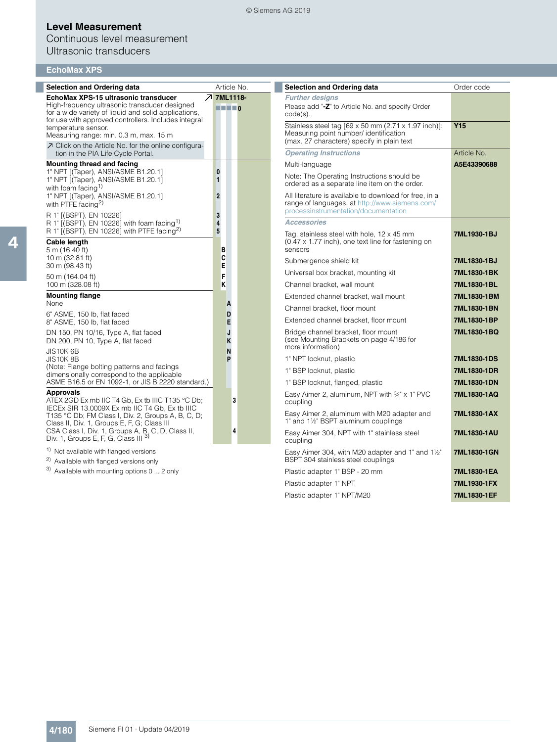## Continuous level measurement Ultrasonic transducers

|  | <b>EchoMax XPS</b> |  |
|--|--------------------|--|
|  |                    |  |

| <b>Selection and Ordering data</b>                                                                                                                  |                   | Article No.                                                 | <b>Selection and Ordering data</b>                                                                                                               | Order code      |
|-----------------------------------------------------------------------------------------------------------------------------------------------------|-------------------|-------------------------------------------------------------|--------------------------------------------------------------------------------------------------------------------------------------------------|-----------------|
| EchoMax XPS-15 ultrasonic transducer                                                                                                                | <b>7 7ML1118-</b> |                                                             | <b>Further designs</b>                                                                                                                           |                 |
| High-frequency ultrasonic transducer designed<br>for a wide variety of liquid and solid applications,                                               |                   | $\blacksquare$ $\blacksquare$ $\blacksquare$ $\blacksquare$ | Please add "-Z" to Article No. and specify Order<br>$code(s)$ .                                                                                  |                 |
| for use with approved controllers. Includes integral<br>temperature sensor.<br>Measuring range: min. 0.3 m, max. 15 m                               |                   |                                                             | Stainless steel tag [69 x 50 mm (2.71 x 1.97 inch)]:<br>Measuring point number/ identification<br>(max. 27 characters) specify in plain text     | Y <sub>15</sub> |
| 7 Click on the Article No. for the online configura-<br>tion in the PIA Life Cycle Portal.                                                          |                   |                                                             | <b>Operating Instructions</b>                                                                                                                    | Article No.     |
| <b>Mounting thread and facing</b>                                                                                                                   |                   |                                                             | Multi-language                                                                                                                                   | A5E43390688     |
| 1" NPT [(Taper), ANSI/ASME B1.20.1]<br>1" NPT [(Taper), ANSI/ASME B1.20.1]<br>with foam facing <sup>1)</sup>                                        | $\bf{0}$<br>1     |                                                             | Note: The Operating Instructions should be<br>ordered as a separate line item on the order.                                                      |                 |
| 1" NPT [(Taper), ANSI/ASME B1.20.1]<br>with PTFE $f_{\rm acina}^{2)}$                                                                               | $\overline{2}$    |                                                             | All literature is available to download for free, in a<br>range of languages, at http://www.siemens.com/<br>processinstrumentation/documentation |                 |
| R 1" [(BSPT), EN 10226]<br>R 1" [(BSPT), EN 10226] with foam facing $\frac{1}{2}$                                                                   | 3<br>4            |                                                             | <b>Accessories</b>                                                                                                                               |                 |
| R 1" $[(BSPT)$ , EN 10226] with PTFE facing <sup>2)</sup>                                                                                           | 5                 |                                                             | Tag, stainless steel with hole, 12 x 45 mm                                                                                                       | 7ML1930-1BJ     |
| Cable length<br>5 m (16.40 ft)                                                                                                                      | в                 |                                                             | $(0.47 \times 1.77$ inch), one text line for fastening on<br>sensors                                                                             |                 |
| 10 m (32.81 ft)<br>30 m (98.43 ft)                                                                                                                  | C<br>E            |                                                             | Submergence shield kit                                                                                                                           | 7ML1830-1BJ     |
| 50 m (164.04 ft)                                                                                                                                    | F                 |                                                             | Universal box bracket, mounting kit                                                                                                              | 7ML1830-1BK     |
| 100 m (328.08 ft)                                                                                                                                   | Κ                 |                                                             | Channel bracket, wall mount                                                                                                                      | 7ML1830-1BL     |
| <b>Mounting flange</b>                                                                                                                              |                   |                                                             | Extended channel bracket, wall mount                                                                                                             | 7ML1830-1BM     |
| None<br>6" ASME, 150 lb, flat faced                                                                                                                 | A<br>D            |                                                             | Channel bracket, floor mount                                                                                                                     | 7ML1830-1BN     |
| 8" ASME, 150 lb, flat faced                                                                                                                         | E                 |                                                             | Extended channel bracket, floor mount                                                                                                            | 7ML1830-1BP     |
| DN 150, PN 10/16, Type A, flat faced<br>DN 200, PN 10, Type A, flat faced                                                                           | J<br>K            |                                                             | Bridge channel bracket, floor mount<br>(see Mounting Brackets on page 4/186 for<br>more information)                                             | 7ML1830-1BQ     |
| <b>JIS10K 6B</b><br>JIS10K8B                                                                                                                        | N<br>P            |                                                             | 1" NPT locknut, plastic                                                                                                                          | 7ML1830-1DS     |
| (Note: Flange bolting patterns and facings<br>dimensionally correspond to the applicable                                                            |                   |                                                             | 1" BSP locknut, plastic                                                                                                                          | 7ML1830-1DR     |
| ASME B16.5 or EN 1092-1, or JIS B 2220 standard.)                                                                                                   |                   |                                                             | 1" BSP locknut, flanged, plastic                                                                                                                 | 7ML1830-1DN     |
| <b>Approvals</b><br>ATEX 2GD Ex mb IIC T4 Gb, Ex tb IIIC T135 °C Db;                                                                                | 3                 |                                                             | Easy Aimer 2, aluminum, NPT with 34" x 1" PVC<br>coupling                                                                                        | 7ML1830-1AQ     |
| IECEX SIR 13.0009X Ex mb IIC T4 Gb, Ex tb IIIC<br>T135 °C Db; FM Class I, Div. 2, Groups A, B, C, D;<br>Class II, Div. 1, Groups E, F, G; Class III |                   |                                                             | Easy Aimer 2, aluminum with M20 adapter and<br>1" and 1½" BSPT aluminum couplings                                                                | 7ML1830-1AX     |
| CSA Class I, Div. 1, Groups A, B, C, D, Class II,<br>Div. 1, Groups E, F, G, Class III 3)                                                           |                   | 4                                                           | Easy Aimer 304, NPT with 1" stainless steel<br>coupling                                                                                          | 7ML1830-1AU     |
| <sup>1)</sup> Not available with flanged versions<br><sup>2)</sup> Available with flanged versions only                                             |                   |                                                             | Easy Aimer 304, with M20 adapter and 1" and 11/2"<br>BSPT 304 stainless steel couplings                                                          | 7ML1830-1GN     |
| $3)$ Available with mounting options 0  2 only                                                                                                      |                   |                                                             | Plastic adapter 1" BSP - 20 mm                                                                                                                   | 7ML1830-1EA     |
|                                                                                                                                                     |                   |                                                             | Plastic adapter 1" NPT                                                                                                                           | 7ML1930-1FX     |
|                                                                                                                                                     |                   |                                                             | Plastic adapter 1" NPT/M20                                                                                                                       | 7ML1830-1EF     |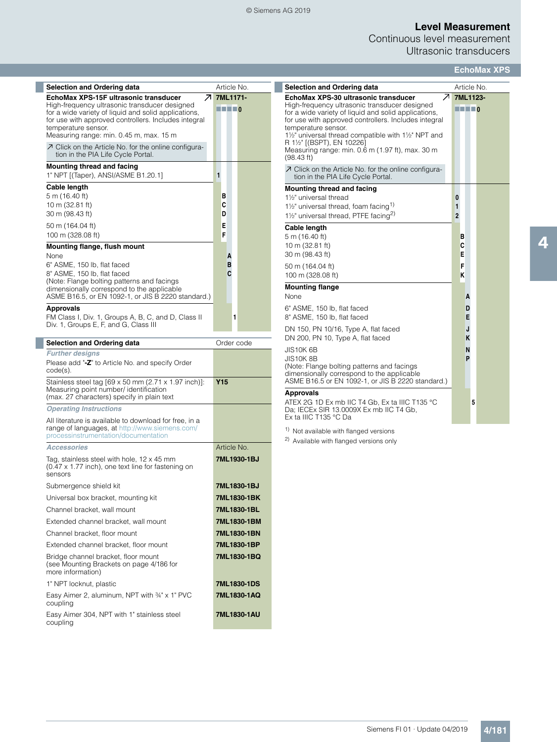#### © Siemens AG 2019

## **Level Measurement**

Continuous level measurement Ultrasonic transducers

| <b>Selection and Ordering data</b>                                                                                                                                                                                              |                                                                                                                                                                                                                                                                                                                                                                                                                                                                                            |        | Article No. |
|---------------------------------------------------------------------------------------------------------------------------------------------------------------------------------------------------------------------------------|--------------------------------------------------------------------------------------------------------------------------------------------------------------------------------------------------------------------------------------------------------------------------------------------------------------------------------------------------------------------------------------------------------------------------------------------------------------------------------------------|--------|-------------|
| Ζ<br>EchoMax XPS-15F ultrasonic transducer                                                                                                                                                                                      |                                                                                                                                                                                                                                                                                                                                                                                                                                                                                            |        | 7ML1171-    |
| High-frequency ultrasonic transducer designed<br>for a wide variety of liquid and solid applications,<br>for use with approved controllers. Includes integral<br>temperature sensor.<br>Measuring range: min. 0.45 m, max. 15 m | $\blacksquare$ $\blacksquare$ $\blacksquare$ $\blacksquare$ $\blacksquare$ $\blacksquare$ $\blacksquare$ $\blacksquare$ $\blacksquare$ $\blacksquare$ $\blacksquare$ $\blacksquare$ $\blacksquare$ $\blacksquare$ $\blacksquare$ $\blacksquare$ $\blacksquare$ $\blacksquare$ $\blacksquare$ $\blacksquare$ $\blacksquare$ $\blacksquare$ $\blacksquare$ $\blacksquare$ $\blacksquare$ $\blacksquare$ $\blacksquare$ $\blacksquare$ $\blacksquare$ $\blacksquare$ $\blacksquare$ $\blacks$ |        |             |
| ○ Click on the Article No. for the online configura-<br>tion in the PIA Life Cycle Portal.                                                                                                                                      |                                                                                                                                                                                                                                                                                                                                                                                                                                                                                            |        |             |
| Mounting thread and facing<br>1" NPT [(Taper), ANSI/ASME B1.20.1]                                                                                                                                                               | 1                                                                                                                                                                                                                                                                                                                                                                                                                                                                                          |        |             |
| <b>Cable length</b>                                                                                                                                                                                                             |                                                                                                                                                                                                                                                                                                                                                                                                                                                                                            |        |             |
| 5 m (16.40 ft)                                                                                                                                                                                                                  | в                                                                                                                                                                                                                                                                                                                                                                                                                                                                                          |        |             |
| 10 m (32.81 ft)<br>30 m (98.43 ft)                                                                                                                                                                                              | C<br>D                                                                                                                                                                                                                                                                                                                                                                                                                                                                                     |        |             |
|                                                                                                                                                                                                                                 | E                                                                                                                                                                                                                                                                                                                                                                                                                                                                                          |        |             |
| 50 m (164.04 ft)<br>100 m (328.08 ft)                                                                                                                                                                                           | F                                                                                                                                                                                                                                                                                                                                                                                                                                                                                          |        |             |
| <b>Mounting flange, flush mount</b>                                                                                                                                                                                             |                                                                                                                                                                                                                                                                                                                                                                                                                                                                                            |        |             |
| None                                                                                                                                                                                                                            |                                                                                                                                                                                                                                                                                                                                                                                                                                                                                            | А<br>в |             |
| 6" ASME, 150 lb, flat faced<br>8" ASME, 150 lb, flat faced                                                                                                                                                                      |                                                                                                                                                                                                                                                                                                                                                                                                                                                                                            | C      |             |
| (Note: Flange bolting patterns and facings                                                                                                                                                                                      |                                                                                                                                                                                                                                                                                                                                                                                                                                                                                            |        |             |
| dimensionally correspond to the applicable<br>ASME B16.5, or EN 1092-1, or JIS B 2220 standard.)                                                                                                                                |                                                                                                                                                                                                                                                                                                                                                                                                                                                                                            |        |             |
| Approvals                                                                                                                                                                                                                       |                                                                                                                                                                                                                                                                                                                                                                                                                                                                                            |        |             |
| FM Class I, Div. 1, Groups A, B, C, and D, Class II                                                                                                                                                                             |                                                                                                                                                                                                                                                                                                                                                                                                                                                                                            |        | 1           |
| Div. 1, Groups E, F, and G, Class III                                                                                                                                                                                           |                                                                                                                                                                                                                                                                                                                                                                                                                                                                                            |        |             |
| <b>Selection and Ordering data</b>                                                                                                                                                                                              |                                                                                                                                                                                                                                                                                                                                                                                                                                                                                            |        | Order code  |
| <b>Further designs</b>                                                                                                                                                                                                          |                                                                                                                                                                                                                                                                                                                                                                                                                                                                                            |        |             |
| Please add "-Z" to Article No. and specify Order<br>code(s).                                                                                                                                                                    |                                                                                                                                                                                                                                                                                                                                                                                                                                                                                            |        |             |
| Stainless steel tag [69 x 50 mm (2.71 x 1.97 inch)]:<br>Measuring point number/ identification<br>(max. 27 characters) specify in plain text                                                                                    | Y <sub>15</sub>                                                                                                                                                                                                                                                                                                                                                                                                                                                                            |        |             |
| <b>Operating Instructions</b>                                                                                                                                                                                                   |                                                                                                                                                                                                                                                                                                                                                                                                                                                                                            |        |             |
| All literature is available to download for free, in a<br>range of languages, at http://www.siemens.com/<br>processinstrumentation/documentation                                                                                |                                                                                                                                                                                                                                                                                                                                                                                                                                                                                            |        |             |
| <b>Accessories</b>                                                                                                                                                                                                              |                                                                                                                                                                                                                                                                                                                                                                                                                                                                                            |        | Article No. |
| Tag, stainless steel with hole, $12 \times 45$ mm<br>$(0.47 \times 1.77$ inch), one text line for fastening on<br>sensors                                                                                                       |                                                                                                                                                                                                                                                                                                                                                                                                                                                                                            |        | 7ML1930-1BJ |
| Submergence shield kit                                                                                                                                                                                                          |                                                                                                                                                                                                                                                                                                                                                                                                                                                                                            |        | 7ML1830-1BJ |
| Universal box bracket, mounting kit                                                                                                                                                                                             |                                                                                                                                                                                                                                                                                                                                                                                                                                                                                            |        | 7ML1830-1BK |
| Channel bracket, wall mount                                                                                                                                                                                                     |                                                                                                                                                                                                                                                                                                                                                                                                                                                                                            |        | 7ML1830-1BL |
| Extended channel bracket, wall mount                                                                                                                                                                                            |                                                                                                                                                                                                                                                                                                                                                                                                                                                                                            |        | 7ML1830-1BM |
| Channel bracket, floor mount                                                                                                                                                                                                    |                                                                                                                                                                                                                                                                                                                                                                                                                                                                                            |        | 7ML1830-1BN |
| Extended channel bracket, floor mount                                                                                                                                                                                           |                                                                                                                                                                                                                                                                                                                                                                                                                                                                                            |        | 7ML1830-1BP |
| Bridge channel bracket, floor mount<br>(see Mounting Brackets on page 4/186 for<br>more information)                                                                                                                            |                                                                                                                                                                                                                                                                                                                                                                                                                                                                                            |        | 7ML1830-1BQ |
| 1" NPT locknut, plastic                                                                                                                                                                                                         |                                                                                                                                                                                                                                                                                                                                                                                                                                                                                            |        | 7ML1830-1DS |
| Easy Aimer 2, aluminum, NPT with 34" x 1" PVC<br>coupling                                                                                                                                                                       |                                                                                                                                                                                                                                                                                                                                                                                                                                                                                            |        | 7ML1830-1AQ |
| Easy Aimer 304, NPT with 1" stainless steel<br>coupling                                                                                                                                                                         |                                                                                                                                                                                                                                                                                                                                                                                                                                                                                            |        | 7ML1830-1AU |

|                                                                                                                                                                                                                                                                                                                                                                                          |                                                                                                                                                                                                                                                                                                                                                                                                                                                                                                        |                            | <b>EchoMax XPS</b> |
|------------------------------------------------------------------------------------------------------------------------------------------------------------------------------------------------------------------------------------------------------------------------------------------------------------------------------------------------------------------------------------------|--------------------------------------------------------------------------------------------------------------------------------------------------------------------------------------------------------------------------------------------------------------------------------------------------------------------------------------------------------------------------------------------------------------------------------------------------------------------------------------------------------|----------------------------|--------------------|
| <b>Selection and Ordering data</b>                                                                                                                                                                                                                                                                                                                                                       | Article No.                                                                                                                                                                                                                                                                                                                                                                                                                                                                                            |                            |                    |
| Z.<br>EchoMax XPS-30 ultrasonic transducer<br>High-frequency ultrasonic transducer designed<br>for a wide variety of liquid and solid applications,<br>for use with approved controllers. Includes integral<br>temperature sensor.<br>11/2" universal thread compatible with 11/2" NPT and<br>R 1½" [(BSPT), EN 10226]<br>Measuring range: min. 0.6 m (1.97 ft), max. 30 m<br>(98.43 ft) | 7ML1123-<br>$\blacksquare$ $\blacksquare$ $\blacksquare$ $\blacksquare$ $\blacksquare$ $\blacksquare$ $\blacksquare$ $\blacksquare$ $\blacksquare$ $\blacksquare$ $\blacksquare$ $\blacksquare$ $\blacksquare$ $\blacksquare$ $\blacksquare$ $\blacksquare$ $\blacksquare$ $\blacksquare$ $\blacksquare$ $\blacksquare$ $\blacksquare$ $\blacksquare$ $\blacksquare$ $\blacksquare$ $\blacksquare$ $\blacksquare$ $\blacksquare$ $\blacksquare$ $\blacksquare$ $\blacksquare$ $\blacksquare$ $\blacks$ |                            |                    |
| ○ Click on the Article No. for the online configura-<br>tion in the PIA Life Cycle Portal.                                                                                                                                                                                                                                                                                               |                                                                                                                                                                                                                                                                                                                                                                                                                                                                                                        |                            |                    |
| Mounting thread and facing<br>1%" universal thread<br>1 <sup>1</sup> / <sub>2</sub> " universal thread, foam facing <sup>1)</sup><br>11/2" universal thread, PTFE facing <sup>2)</sup>                                                                                                                                                                                                   | 0<br>1<br>$\overline{2}$                                                                                                                                                                                                                                                                                                                                                                                                                                                                               |                            |                    |
| Cable length<br>5 m (16.40 ft)<br>10 m (32.81 ft)<br>30 m (98.43 ft)<br>50 m (164.04 ft)<br>100 m (328.08 ft)                                                                                                                                                                                                                                                                            | в<br>C<br>E<br>F<br>ĸ                                                                                                                                                                                                                                                                                                                                                                                                                                                                                  |                            |                    |
| <b>Mounting flange</b><br>None<br>6" ASME, 150 lb, flat faced<br>8" ASME, 150 lb, flat faced<br>DN 150, PN 10/16, Type A, flat faced<br>DN 200, PN 10, Type A, flat faced<br>JIS10K 6B<br>JIS10K 8B<br>(Note: Flange bolting patterns and facings<br>dimensionally correspond to the applicable<br>ASME B16.5 or EN 1092-1, or JIS B 2220 standard.)                                     | A                                                                                                                                                                                                                                                                                                                                                                                                                                                                                                      | D<br>Е<br>J<br>ĸ<br>N<br>Þ |                    |
| <b>Approvals</b><br>ATEX 2G 1D Ex mb IIC T4 Gb. Ex ta IIIC T135 °C<br>Da; IECEx SIR 13.0009X Ex mb IIC T4 Gb,<br>Ex ta IIIC T135 °C Da                                                                                                                                                                                                                                                   |                                                                                                                                                                                                                                                                                                                                                                                                                                                                                                        | 5                          |                    |

1) Not available with flanged versions

2) Available with flanged versions only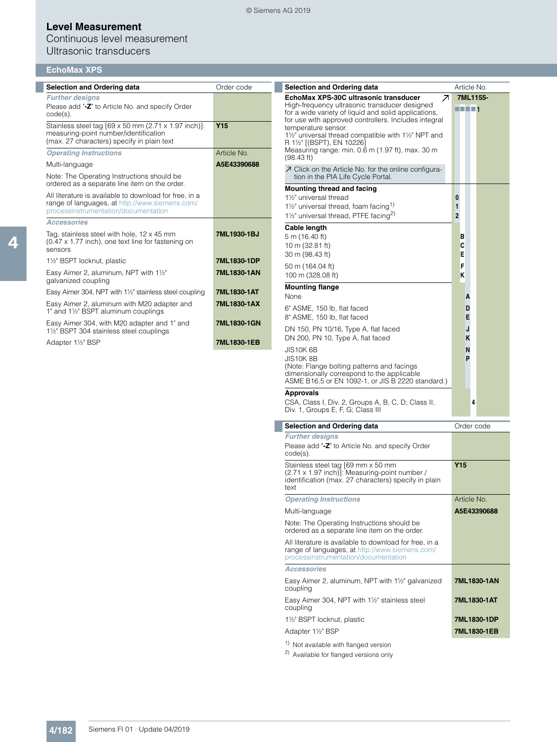## Continuous level measurement Ultrasonic transducers

|  | EchoMax XPS |  |  |  |  |
|--|-------------|--|--|--|--|

| <b>Selection and Ordering data</b>                                                                                                               | Order code      | <b>Selection and Ordering data</b>                                                                                                                                 | Article No.              |
|--------------------------------------------------------------------------------------------------------------------------------------------------|-----------------|--------------------------------------------------------------------------------------------------------------------------------------------------------------------|--------------------------|
| <b>Further designs</b>                                                                                                                           |                 | EchoMax XPS-30C ultrasonic transducer<br>Ζ                                                                                                                         | 7ML1155-                 |
| Please add "-Z" to Article No. and specify Order<br>$code(s)$ .                                                                                  |                 | High-frequency ultrasonic transducer designed<br>for a wide variety of liquid and solid applications,<br>for use with approved controllers. Includes integral      | <b>REFE1</b>             |
| Stainless steel tag [69 x 50 mm (2.71 x 1.97 inch)]:<br>measuring-point number/identification<br>(max. 27 characters) specify in plain text      | Y <sub>15</sub> | temperature sensor.<br>11/2" universal thread compatible with 11/2" NPT and<br>R 11/2" [(BSPT), EN 10226]                                                          |                          |
| <b>Operating Instructions</b>                                                                                                                    | Article No.     | Measuring range: min. 0.6 m (1.97 ft), max. 30 m                                                                                                                   |                          |
| Multi-language                                                                                                                                   | A5E43390688     | (98.43 ft)<br>○ Click on the Article No. for the online configura-                                                                                                 |                          |
| Note: The Operating Instructions should be<br>ordered as a separate line item on the order.                                                      |                 | tion in the PIA Life Cycle Portal.<br><b>Mounting thread and facing</b>                                                                                            |                          |
| All literature is available to download for free, in a<br>range of languages, at http://www.siemens.com/<br>processinstrumentation/documentation |                 | 1 <sup>1/2"</sup> universal thread<br>$1\frac{1}{2}$ " universal thread, foam facing <sup>1)</sup><br>1 <sup>1/2</sup> universal thread, PTFE facing <sup>2)</sup> | 0<br>1<br>$\overline{2}$ |
| <b>Accessories</b>                                                                                                                               |                 | Cable length                                                                                                                                                       |                          |
| Tag, stainless steel with hole, $12 \times 45$ mm<br>(0.47 x 1.77 inch), one text line for fastening on<br>sensors                               | 7ML1930-1BJ     | 5 m (16.40 ft)<br>10 m (32.81 ft)                                                                                                                                  | в<br>c                   |
| 1½" BSPT locknut, plastic                                                                                                                        | 7ML1830-1DP     | 30 m (98.43 ft)                                                                                                                                                    | Е                        |
| Easy Aimer 2, aluminum, NPT with 11/2"<br>galvanized coupling                                                                                    | 7ML1830-1AN     | 50 m (164.04 ft)<br>100 m (328.08 ft)                                                                                                                              | F<br>K                   |
| Easy Aimer 304, NPT with 1½" stainless steel coupling                                                                                            | 7ML1830-1AT     | <b>Mounting flange</b><br>None                                                                                                                                     | A                        |
| Easy Aimer 2, aluminum with M20 adapter and<br>1" and 1½" BSPT aluminum couplings                                                                | 7ML1830-1AX     | 6" ASME, 150 lb, flat faced                                                                                                                                        | D                        |
| Easy Aimer 304, with M20 adapter and 1" and<br>1 <sup>1</sup> / <sub>2</sub> " BSPT 304 stainless steel couplings                                | 7ML1830-1GN     | 8" ASME, 150 lb, flat faced<br>DN 150, PN 10/16, Type A, flat faced                                                                                                | E<br>J                   |
| Adapter 1½" BSP                                                                                                                                  | 7ML1830-1EB     | DN 200, PN 10, Type A, flat faced<br>JIS10K 6B                                                                                                                     | Κ<br>N                   |
|                                                                                                                                                  |                 | <b>JIS10K8B</b><br>(Note: Flange bolting patterns and facings<br>dimensionally correspond to the applicable<br>ASME B16.5 or EN 1092-1, or JIS B 2220 standard.)   | P                        |
|                                                                                                                                                  |                 | <b>Approvals</b><br>CSA, Class I, Div. 2, Groups A, B, C, D; Class II,<br>Div. 1, Groups E, F, G; Class III                                                        | 4                        |
|                                                                                                                                                  |                 | <b>Selection and Ordering data</b>                                                                                                                                 | Order code               |
|                                                                                                                                                  |                 | <b>Further designs</b><br>Please add "-Z" to Article No. and specify Order<br>$code(s)$ .                                                                          |                          |
|                                                                                                                                                  |                 | Stainless steel tag [69 mm x 50 mm<br>(2.71 x 1.97 inch)]: Measuring-point number /<br>identification (max. 27 characters) specify in plain<br>text                | Y <sub>15</sub>          |
|                                                                                                                                                  |                 | <b>Operating Instructions</b>                                                                                                                                      | Article No.              |
|                                                                                                                                                  |                 | Multi-language                                                                                                                                                     | A5E43390688              |
|                                                                                                                                                  |                 | Note: The Operating Instructions should be<br>ordered as a separate line item on the order.                                                                        |                          |
|                                                                                                                                                  |                 | All literature is available to download for free, in a<br>range of languages, at http://www.siemens.com/<br>processinstrumentation/documentation                   |                          |
|                                                                                                                                                  |                 | <b>Accessories</b>                                                                                                                                                 |                          |
|                                                                                                                                                  |                 | Easy Aimer 2, aluminum, NPT with 11/2" galvanized<br>coupling                                                                                                      | 7ML1830-1AN              |
|                                                                                                                                                  |                 | Easy Aimer 304, NPT with 11/2" stainless steel<br>coupling                                                                                                         | 7ML1830-1AT              |
|                                                                                                                                                  |                 | 1½" BSPT locknut, plastic                                                                                                                                          | 7ML1830-1DP              |
|                                                                                                                                                  |                 | Adapter 1½" BSP                                                                                                                                                    | 7ML1830-1EB              |
|                                                                                                                                                  |                 | <sup>1)</sup> Not available with flanged version                                                                                                                   |                          |